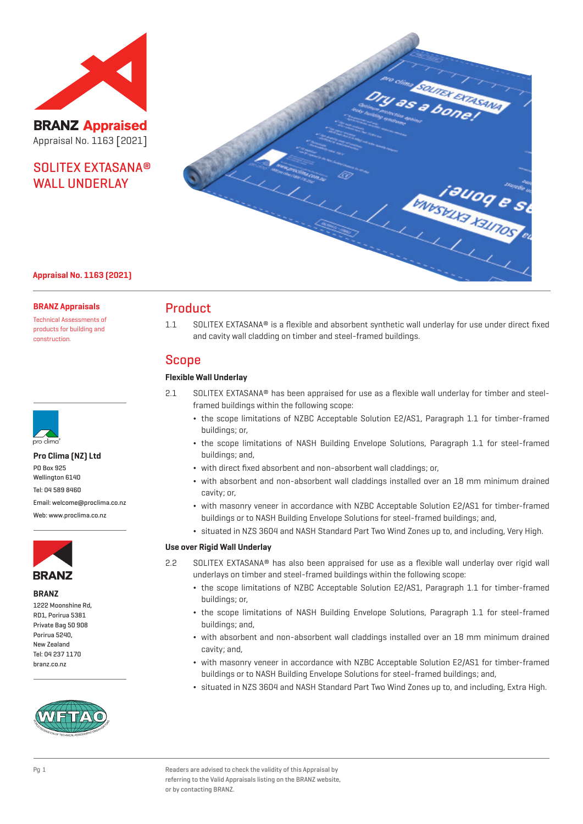

**BRANZ Appraised** Appraisal No. 1163 [2021]

## SOLITEX EXTASANA® WALL **UNDERLAY**



## **Appraisal No. 1163 (2021)**

#### **BRANZ Appraisals**

Technical Assessments of products for building and construction.



#### **Pro Clima (NZ) Ltd**

PO Box 925 Wellington 6140 Tel: 04 589 8460 Email: welcome@proclima.co.nz

Web: www.proclima.co.nz



#### **BRANZ**

1222 Moonshine Rd, RD1, Porirua 5381 Private Bag 50 908 Porirua 5240, New Zealand Tel: 04 237 1170 branz.co.nz



## Product

1.1 SOLITEX EXTASANA® is a flexible and absorbent synthetic wall underlay for use under direct fixed and cavity wall cladding on timber and steel-framed buildings.

## Scope

### **Flexible Wall Underlay**

- 2.1 SOLITEX EXTASANA® has been appraised for use as a flexible wall underlay for timber and steelframed buildings within the following scope:
	- ¬ the scope limitations of NZBC Acceptable Solution E2/AS1, Paragraph 1.1 for timber-framed buildings; or,
	- ¬ the scope limitations of NASH Building Envelope Solutions, Paragraph 1.1 for steel-framed buildings; and,
	- ¬ with direct fixed absorbent and non-absorbent wall claddings; or,
	- ¬ with absorbent and non-absorbent wall claddings installed over an 18 mm minimum drained cavity; or,
	- ¬ with masonry veneer in accordance with NZBC Acceptable Solution E2/AS1 for timber-framed buildings or to NASH Building Envelope Solutions for steel-framed buildings; and,
	- ¬ situated in NZS 3604 and NASH Standard Part Two Wind Zones up to, and including, Very High.

#### **Use over Rigid Wall Underlay**

- 2.2 SOLITEX EXTASANA® has also been appraised for use as a flexible wall underlay over rigid wall underlays on timber and steel-framed buildings within the following scope:
	- ¬ the scope limitations of NZBC Acceptable Solution E2/AS1, Paragraph 1.1 for timber-framed buildings; or,
	- ¬ the scope limitations of NASH Building Envelope Solutions, Paragraph 1.1 for steel-framed buildings; and,
	- ¬ with absorbent and non-absorbent wall claddings installed over an 18 mm minimum drained cavity; and,
	- ¬ with masonry veneer in accordance with NZBC Acceptable Solution E2/AS1 for timber-framed buildings or to NASH Building Envelope Solutions for steel-framed buildings; and,
	- ¬ situated in NZS 3604 and NASH Standard Part Two Wind Zones up to, and including, Extra High.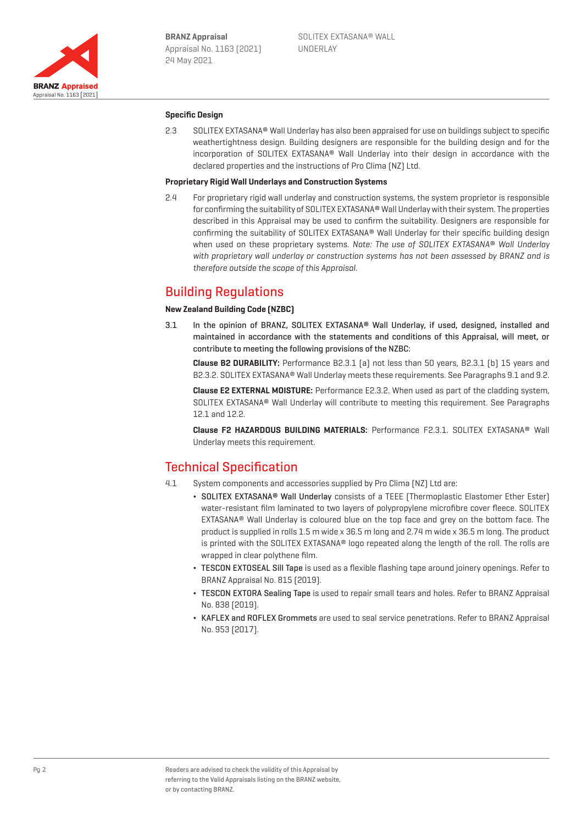

### **Specific Design**

2.3 SOLITEX EXTASANA® Wall Underlay has also been appraised for use on buildings subject to specific weathertightness design. Building designers are responsible for the building design and for the incorporation of SOLITEX EXTASANA® Wall Underlay into their design in accordance with the declared properties and the instructions of Pro Clima (NZ) Ltd.

#### **Proprietary Rigid Wall Underlays and Construction Systems**

2.4 For proprietary rigid wall underlay and construction systems, the system proprietor is responsible for confirming the suitability of SOLITEX EXTASANA® Wall Underlay with their system. The properties described in this Appraisal may be used to confirm the suitability. Designers are responsible for confirming the suitability of SOLITEX EXTASANA® Wall Underlay for their specific building design when used on these proprietary systems. Note: The use of SOLITEX EXTASANA® Wall Underlay with proprietary wall underlay or construction systems has not been assessed by BRANZ and is therefore outside the scope of this Appraisal.

## Building Regulations

#### **New Zealand Building Code (NZBC)**

3.1 In the opinion of BRANZ, SOLITEX EXTASANA® Wall Underlay, if used, designed, installed and maintained in accordance with the statements and conditions of this Appraisal, will meet, or contribute to meeting the following provisions of the NZBC:

**Clause B2 DURABILITY:** Performance B2.3.1 (a) not less than 50 years, B2.3.1 (b) 15 years and B2.3.2. SOLITEX EXTASANA® Wall Underlay meets these requirements. See Paragraphs 9.1 and 9.2.

**Clause E2 EXTERNAL MOISTURE:** Performance E2.3.2. When used as part of the cladding system, SOLITEX EXTASANA® Wall Underlay will contribute to meeting this requirement. See Paragraphs 12.1 and 12.2.

**Clause F2 HAZARDOUS BUILDING MATERIALS:** Performance F2.3.1. SOLITEX EXTASANA® Wall Underlay meets this requirement.

## Technical Specification

- 4.1 System components and accessories supplied by Pro Clima (NZ) Ltd are:
	- ¬ SOLITEX EXTASANA® Wall Underlay consists of a TEEE (Thermoplastic Elastomer Ether Ester) water-resistant film laminated to two layers of polypropylene microfibre cover fleece. SOLITEX EXTASANA® Wall Underlay is coloured blue on the top face and grey on the bottom face. The product is supplied in rolls 1.5 m wide x 36.5 m long and 2.74 m wide x 36.5 m long. The product is printed with the SOLITEX EXTASANA® logo repeated along the length of the roll. The rolls are wrapped in clear polythene film.
	- ¬ TESCON EXTOSEAL Sill Tape is used as a flexible flashing tape around joinery openings. Refer to BRANZ Appraisal No. 815 (2019).
	- TESCON EXTORA Sealing Tape is used to repair small tears and holes. Refer to BRANZ Appraisal No. 838 (2019).
	- ¬ KAFLEX and ROFLEX Grommets are used to seal service penetrations. Refer to BRANZ Appraisal No. 953 (2017).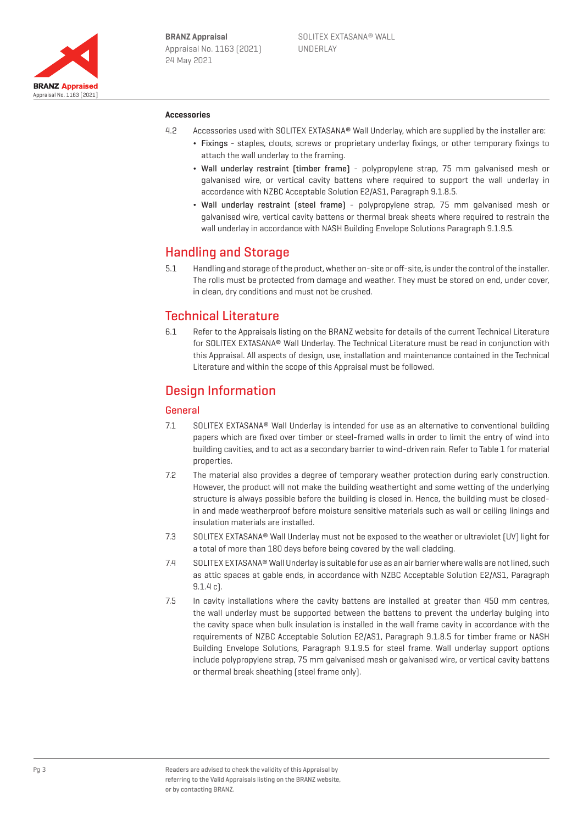

### **Accessories**

- 4.2 Accessories used with SOLITEX EXTASANA® Wall Underlay, which are supplied by the installer are:
	- ¬ Fixings staples, clouts, screws or proprietary underlay fixings, or other temporary fixings to attach the wall underlay to the framing.
	- ¬ Wall underlay restraint (timber frame) polypropylene strap, 75 mm galvanised mesh or galvanised wire, or vertical cavity battens where required to support the wall underlay in accordance with NZBC Acceptable Solution E2/AS1, Paragraph 9.1.8.5.
	- ¬ Wall underlay restraint (steel frame) polypropylene strap, 75 mm galvanised mesh or galvanised wire, vertical cavity battens or thermal break sheets where required to restrain the wall underlay in accordance with NASH Building Envelope Solutions Paragraph 9.1.9.5.

## Handling and Storage

5.1 Handling and storage of the product, whether on-site or off-site, is under the control of the installer. The rolls must be protected from damage and weather. They must be stored on end, under cover, in clean, dry conditions and must not be crushed.

## Technical Literature

6.1 Refer to the Appraisals listing on the BRANZ website for details of the current Technical Literature for SOLITEX EXTASANA® Wall Underlay. The Technical Literature must be read in conjunction with this Appraisal. All aspects of design, use, installation and maintenance contained in the Technical Literature and within the scope of this Appraisal must be followed.

## Design Information

## General

- 7.1 SOLITEX EXTASANA® Wall Underlay is intended for use as an alternative to conventional building papers which are fixed over timber or steel-framed walls in order to limit the entry of wind into building cavities, and to act as a secondary barrier to wind-driven rain. Refer to Table 1 for material properties.
- 7.2 The material also provides a degree of temporary weather protection during early construction. However, the product will not make the building weathertight and some wetting of the underlying structure is always possible before the building is closed in. Hence, the building must be closedin and made weatherproof before moisture sensitive materials such as wall or ceiling linings and insulation materials are installed.
- 7.3 SOLITEX EXTASANA® Wall Underlay must not be exposed to the weather or ultraviolet (UV) light for a total of more than 180 days before being covered by the wall cladding.
- 7.4 SOLITEX EXTASANA® Wall Underlay is suitable for use as an air barrier where walls are not lined, such as attic spaces at gable ends, in accordance with NZBC Acceptable Solution E2/AS1, Paragraph 9.1.4 c).
- 7.5 In cavity installations where the cavity battens are installed at greater than 450 mm centres, the wall underlay must be supported between the battens to prevent the underlay bulging into the cavity space when bulk insulation is installed in the wall frame cavity in accordance with the requirements of NZBC Acceptable Solution E2/AS1, Paragraph 9.1.8.5 for timber frame or NASH Building Envelope Solutions, Paragraph 9.1.9.5 for steel frame. Wall underlay support options include polypropylene strap, 75 mm galvanised mesh or galvanised wire, or vertical cavity battens or thermal break sheathing (steel frame only).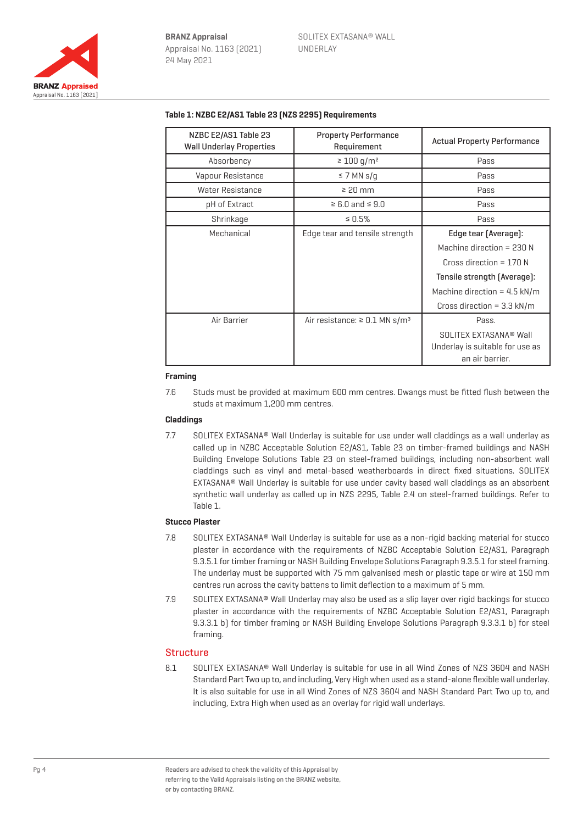

| NZBC E2/AS1 Table 23<br><b>Wall Underlay Properties</b> | <b>Property Performance</b><br>Requirement     | <b>Actual Property Performance</b> |
|---------------------------------------------------------|------------------------------------------------|------------------------------------|
| Absorbency                                              | $\geq 100$ g/m <sup>2</sup>                    | Pass                               |
| Vapour Resistance                                       | $\leq$ 7 MN s/q                                | Pass                               |
| <b>Water Resistance</b>                                 | $\geq 20$ mm                                   | Pass                               |
| pH of Extract                                           | $\geq 6.0$ and $\leq 9.0$                      | Pass                               |
| Shrinkage                                               | $\leq 0.5\%$                                   | Pass                               |
| Mechanical                                              | Edge tear and tensile strength                 | Edge tear (Average):               |
|                                                         |                                                | Machine direction = $230 N$        |
|                                                         |                                                | Cross direction = $170 N$          |
|                                                         |                                                | Tensile strength (Average):        |
|                                                         |                                                | Machine direction = $4.5$ kN/m     |
|                                                         |                                                | Cross direction = $3.3$ kN/m       |
| Air Barrier                                             | Air resistance: $\geq$ 0.1 MN s/m <sup>3</sup> | Pass.                              |
|                                                         |                                                | SOLITEX EXTASANA <sup>®</sup> Wall |
|                                                         |                                                | Underlay is suitable for use as    |
|                                                         |                                                | an air barrier.                    |

### **Table 1: NZBC E2/AS1 Table 23 (NZS 2295) Requirements**

#### **Framing**

7.6 Studs must be provided at maximum 600 mm centres. Dwangs must be fitted flush between the studs at maximum 1,200 mm centres.

#### **Claddings**

7.7 SOLITEX EXTASANA® Wall Underlay is suitable for use under wall claddings as a wall underlay as called up in NZBC Acceptable Solution E2/AS1, Table 23 on timber-framed buildings and NASH Building Envelope Solutions Table 23 on steel-framed buildings, including non-absorbent wall claddings such as vinyl and metal-based weatherboards in direct fixed situations. SOLITEX EXTASANA® Wall Underlay is suitable for use under cavity based wall claddings as an absorbent synthetic wall underlay as called up in NZS 2295, Table 2.4 on steel-framed buildings. Refer to Table 1.

### **Stucco Plaster**

- 7.8 SOLITEX EXTASANA® Wall Underlay is suitable for use as a non-rigid backing material for stucco plaster in accordance with the requirements of NZBC Acceptable Solution E2/AS1, Paragraph 9.3.5.1 for timber framing or NASH Building Envelope Solutions Paragraph 9.3.5.1 for steel framing. The underlay must be supported with 75 mm galvanised mesh or plastic tape or wire at 150 mm centres run across the cavity battens to limit deflection to a maximum of 5 mm.
- 7.9 SOLITEX EXTASANA® Wall Underlay may also be used as a slip layer over rigid backings for stucco plaster in accordance with the requirements of NZBC Acceptable Solution E2/AS1, Paragraph 9.3.3.1 b) for timber framing or NASH Building Envelope Solutions Paragraph 9.3.3.1 b) for steel framing.

### **Structure**

8.1 SOLITEX EXTASANA® Wall Underlay is suitable for use in all Wind Zones of NZS 3604 and NASH Standard Part Two up to, and including, Very High when used as a stand-alone flexible wall underlay. It is also suitable for use in all Wind Zones of NZS 3604 and NASH Standard Part Two up to, and including, Extra High when used as an overlay for rigid wall underlays.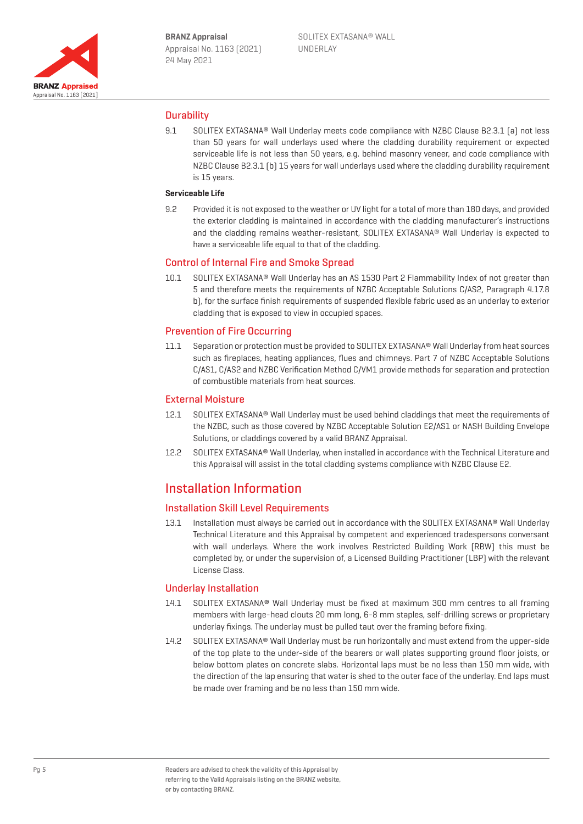

## **Durability**

9.1 SOLITEX EXTASANA® Wall Underlay meets code compliance with NZBC Clause B2.3.1 (a) not less than 50 years for wall underlays used where the cladding durability requirement or expected serviceable life is not less than 50 years, e.g. behind masonry veneer, and code compliance with NZBC Clause B2.3.1 (b) 15 years for wall underlays used where the cladding durability requirement is 15 years.

#### **Serviceable Life**

9.2 Provided it is not exposed to the weather or UV light for a total of more than 180 days, and provided the exterior cladding is maintained in accordance with the cladding manufacturer's instructions and the cladding remains weather-resistant, SOLITEX EXTASANA® Wall Underlay is expected to have a serviceable life equal to that of the cladding.

## Control of Internal Fire and Smoke Spread

10.1 SOLITEX EXTASANA® Wall Underlay has an AS 1530 Part 2 Flammability Index of not greater than 5 and therefore meets the requirements of NZBC Acceptable Solutions C/AS2, Paragraph 4.17.8 b), for the surface finish requirements of suspended flexible fabric used as an underlay to exterior cladding that is exposed to view in occupied spaces.

## Prevention of Fire Occurring

11.1 Separation or protection must be provided to SOLITEX EXTASANA® Wall Underlay from heat sources such as fireplaces, heating appliances, flues and chimneys. Part 7 of NZBC Acceptable Solutions C/AS1, C/AS2 and NZBC Verification Method C/VM1 provide methods for separation and protection of combustible materials from heat sources.

### External Moisture

- 12.1 SOLITEX EXTASANA® Wall Underlay must be used behind claddings that meet the requirements of the NZBC, such as those covered by NZBC Acceptable Solution E2/AS1 or NASH Building Envelope Solutions, or claddings covered by a valid BRANZ Appraisal.
- 12.2 SOLITEX EXTASANA® Wall Underlay, when installed in accordance with the Technical Literature and this Appraisal will assist in the total cladding systems compliance with NZBC Clause E2.

## Installation Information

### Installation Skill Level Requirements

13.1 Installation must always be carried out in accordance with the SOLITEX EXTASANA® Wall Underlay Technical Literature and this Appraisal by competent and experienced tradespersons conversant with wall underlays. Where the work involves Restricted Building Work (RBW) this must be completed by, or under the supervision of, a Licensed Building Practitioner (LBP) with the relevant License Class.

### Underlay Installation

- 14.1 SOLITEX EXTASANA® Wall Underlay must be fixed at maximum 300 mm centres to all framing members with large-head clouts 20 mm long, 6-8 mm staples, self-drilling screws or proprietary underlay fixings. The underlay must be pulled taut over the framing before fixing.
- 14.2 SOLITEX EXTASANA® Wall Underlay must be run horizontally and must extend from the upper-side of the top plate to the under-side of the bearers or wall plates supporting ground floor joists, or below bottom plates on concrete slabs. Horizontal laps must be no less than 150 mm wide, with the direction of the lap ensuring that water is shed to the outer face of the underlay. End laps must be made over framing and be no less than 150 mm wide.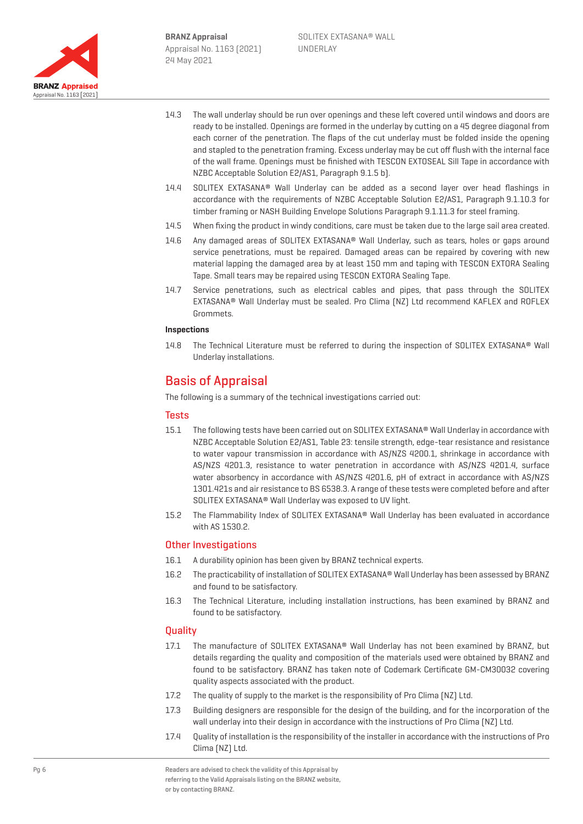

- 14.3 The wall underlay should be run over openings and these left covered until windows and doors are ready to be installed. Openings are formed in the underlay by cutting on a 45 degree diagonal from each corner of the penetration. The flaps of the cut underlay must be folded inside the opening and stapled to the penetration framing. Excess underlay may be cut off flush with the internal face of the wall frame. Openings must be finished with TESCON EXTOSEAL Sill Tape in accordance with NZBC Acceptable Solution E2/AS1, Paragraph 9.1.5 b).
- 14.4 SOLITEX EXTASANA® Wall Underlay can be added as a second layer over head flashings in accordance with the requirements of NZBC Acceptable Solution E2/AS1, Paragraph 9.1.10.3 for timber framing or NASH Building Envelope Solutions Paragraph 9.1.11.3 for steel framing.
- 14.5 When fixing the product in windy conditions, care must be taken due to the large sail area created.
- 14.6 Any damaged areas of SOLITEX EXTASANA® Wall Underlay, such as tears, holes or gaps around service penetrations, must be repaired. Damaged areas can be repaired by covering with new material lapping the damaged area by at least 150 mm and taping with TESCON EXTORA Sealing Tape. Small tears may be repaired using TESCON EXTORA Sealing Tape.
- 14.7 Service penetrations, such as electrical cables and pipes, that pass through the SOLITEX EXTASANA® Wall Underlay must be sealed. Pro Clima (NZ) Ltd recommend KAFLEX and ROFLEX Grommets.

#### **Inspections**

14.8 The Technical Literature must be referred to during the inspection of SOLITEX EXTASANA® Wall Underlay installations.

## Basis of Appraisal

The following is a summary of the technical investigations carried out:

### **Tests**

- 15.1 The following tests have been carried out on SOLITEX EXTASANA® Wall Underlay in accordance with NZBC Acceptable Solution E2/AS1, Table 23: tensile strength, edge-tear resistance and resistance to water vapour transmission in accordance with AS/NZS 4200.1, shrinkage in accordance with AS/NZS 4201.3, resistance to water penetration in accordance with AS/NZS 4201.4, surface water absorbency in accordance with AS/NZS 4201.6, pH of extract in accordance with AS/NZS 1301.421s and air resistance to BS 6538.3. A range of these tests were completed before and after SOLITEX EXTASANA® Wall Underlay was exposed to UV light.
- 15.2 The Flammability Index of SOLITEX EXTASANA® Wall Underlay has been evaluated in accordance with AS 1530.2.

## Other Investigations

- 16.1 A durability opinion has been given by BRANZ technical experts.
- 16.2 The practicability of installation of SOLITEX EXTASANA® Wall Underlay has been assessed by BRANZ and found to be satisfactory.
- 16.3 The Technical Literature, including installation instructions, has been examined by BRANZ and found to be satisfactory.

## **Quality**

- 17.1 The manufacture of SOLITEX EXTASANA® Wall Underlay has not been examined by BRANZ, but details regarding the quality and composition of the materials used were obtained by BRANZ and found to be satisfactory. BRANZ has taken note of Codemark Certificate GM-CM30032 covering quality aspects associated with the product.
- 17.2 The quality of supply to the market is the responsibility of Pro Clima (NZ) Ltd.
- 17.3 Building designers are responsible for the design of the building, and for the incorporation of the wall underlay into their design in accordance with the instructions of Pro Clima (NZ) Ltd.
- 17.4 Quality of installation is the responsibility of the installer in accordance with the instructions of Pro Clima (NZ) Ltd.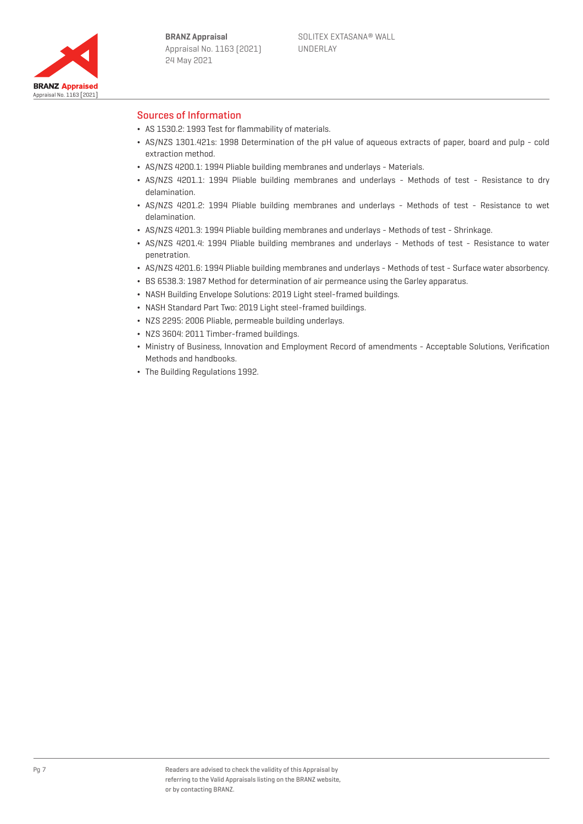

## Sources of Information

- ¬ AS 1530.2: 1993 Test for flammability of materials.
- ¬ AS/NZS 1301.421s: 1998 Determination of the pH value of aqueous extracts of paper, board and pulp cold extraction method.
- ¬ AS/NZS 4200.1: 1994 Pliable building membranes and underlays Materials.
- ¬ AS/NZS 4201.1: 1994 Pliable building membranes and underlays Methods of test Resistance to dry delamination.
- ¬ AS/NZS 4201.2: 1994 Pliable building membranes and underlays Methods of test Resistance to wet delamination.
- ¬ AS/NZS 4201.3: 1994 Pliable building membranes and underlays Methods of test Shrinkage.
- ¬ AS/NZS 4201.4: 1994 Pliable building membranes and underlays Methods of test Resistance to water penetration.
- ¬ AS/NZS 4201.6: 1994 Pliable building membranes and underlays Methods of test Surface water absorbency.
- ¬ BS 6538.3: 1987 Method for determination of air permeance using the Garley apparatus.
- ¬ NASH Building Envelope Solutions: 2019 Light steel-framed buildings.
- NASH Standard Part Two: 2019 Light steel-framed buildings.
- ¬ NZS 2295: 2006 Pliable, permeable building underlays.
- ¬ NZS 3604: 2011 Timber-framed buildings.
- ¬ Ministry of Business, Innovation and Employment Record of amendments Acceptable Solutions, Verification Methods and handbooks.
- ¬ The Building Regulations 1992.